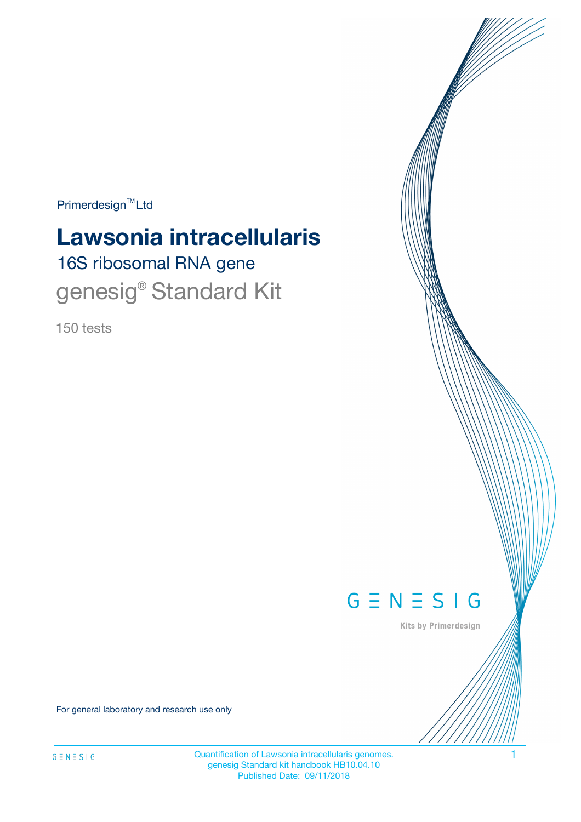$Primerdesign^{\text{TM}}Ltd$ 

# 16S ribosomal RNA gene **Lawsonia intracellularis**

genesig<sup>®</sup> Standard Kit

150 tests



Kits by Primerdesign

For general laboratory and research use only

Quantification of Lawsonia intracellularis genomes. 1 genesig Standard kit handbook HB10.04.10 Published Date: 09/11/2018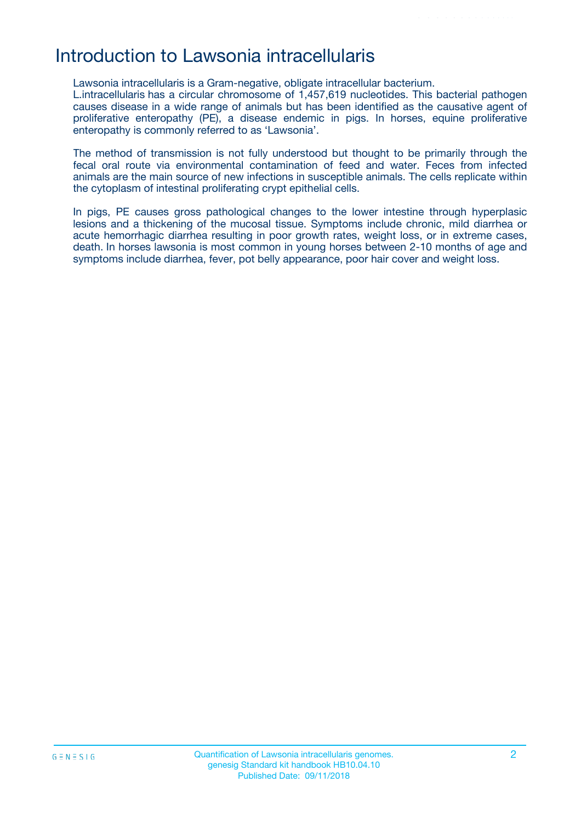## Introduction to Lawsonia intracellularis

Lawsonia intracellularis is a Gram-negative, obligate intracellular bacterium.

L.intracellularis has a circular chromosome of 1,457,619 nucleotides. This bacterial pathogen causes disease in a wide range of animals but has been identified as the causative agent of proliferative enteropathy (PE), a disease endemic in pigs. In horses, equine proliferative enteropathy is commonly referred to as 'Lawsonia'.

The method of transmission is not fully understood but thought to be primarily through the fecal oral route via environmental contamination of feed and water. Feces from infected animals are the main source of new infections in susceptible animals. The cells replicate within the cytoplasm of intestinal proliferating crypt epithelial cells.

In pigs, PE causes gross pathological changes to the lower intestine through hyperplasic lesions and a thickening of the mucosal tissue. Symptoms include chronic, mild diarrhea or acute hemorrhagic diarrhea resulting in poor growth rates, weight loss, or in extreme cases, death. In horses lawsonia is most common in young horses between 2-10 months of age and symptoms include diarrhea, fever, pot belly appearance, poor hair cover and weight loss.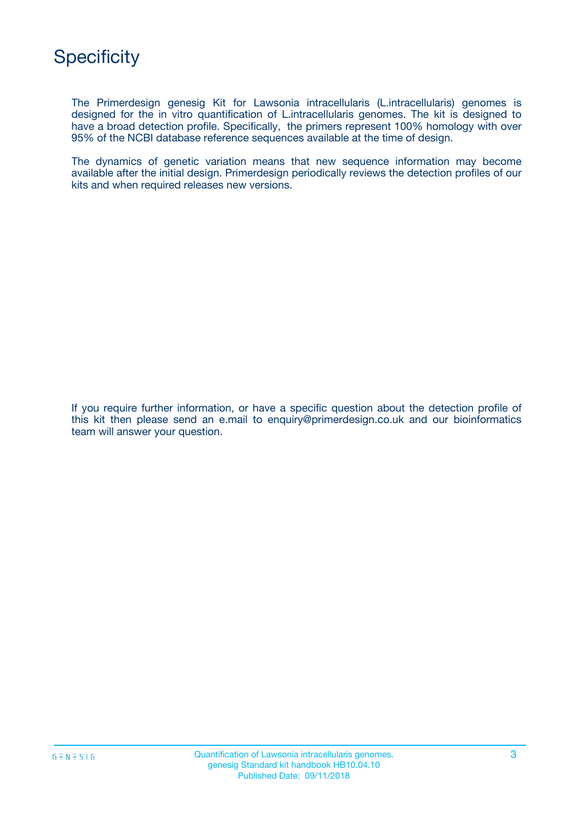The Primerdesign genesig Kit for Lawsonia intracellularis (L.intracellularis) genomes is designed for the in vitro quantification of L.intracellularis genomes. The kit is designed to have a broad detection profile. Specifically, the primers represent 100% homology with over 95% of the NCBI database reference sequences available at the time of design.

The dynamics of genetic variation means that new sequence information may become available after the initial design. Primerdesign periodically reviews the detection profiles of our kits and when required releases new versions.

If you require further information, or have a specific question about the detection profile of this kit then please send an e.mail to enquiry@primerdesign.co.uk and our bioinformatics team will answer your question.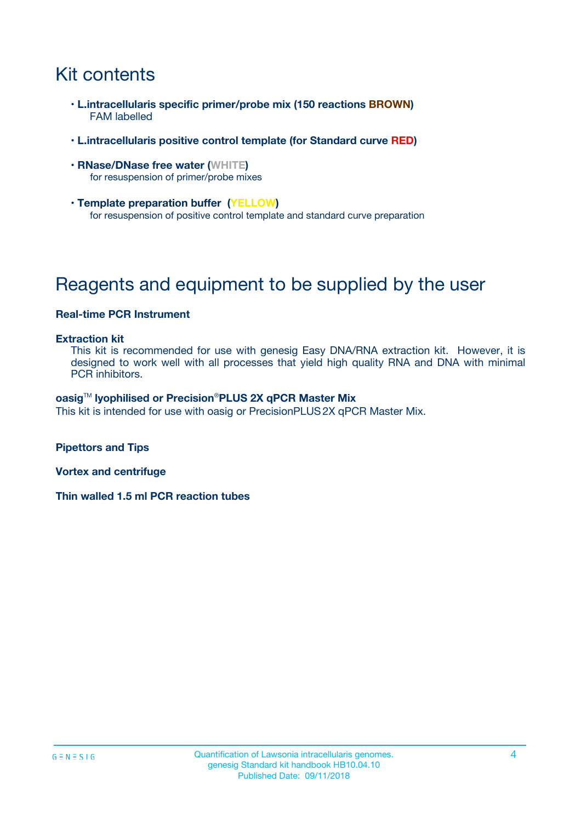## Kit contents

- **L.intracellularis specific primer/probe mix (150 reactions BROWN)** FAM labelled
- **L.intracellularis positive control template (for Standard curve RED)**
- **RNase/DNase free water (WHITE)** for resuspension of primer/probe mixes
- **Template preparation buffer (YELLOW)** for resuspension of positive control template and standard curve preparation

## Reagents and equipment to be supplied by the user

#### **Real-time PCR Instrument**

#### **Extraction kit**

This kit is recommended for use with genesig Easy DNA/RNA extraction kit. However, it is designed to work well with all processes that yield high quality RNA and DNA with minimal PCR inhibitors.

#### **oasig**TM **lyophilised or Precision**®**PLUS 2X qPCR Master Mix**

This kit is intended for use with oasig or PrecisionPLUS2X qPCR Master Mix.

**Pipettors and Tips**

**Vortex and centrifuge**

**Thin walled 1.5 ml PCR reaction tubes**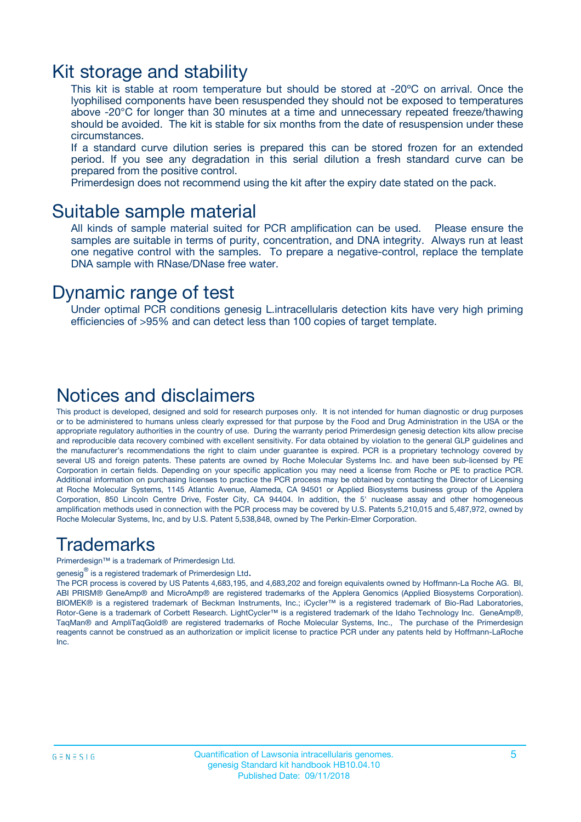### Kit storage and stability

This kit is stable at room temperature but should be stored at -20ºC on arrival. Once the lyophilised components have been resuspended they should not be exposed to temperatures above -20°C for longer than 30 minutes at a time and unnecessary repeated freeze/thawing should be avoided. The kit is stable for six months from the date of resuspension under these circumstances.

If a standard curve dilution series is prepared this can be stored frozen for an extended period. If you see any degradation in this serial dilution a fresh standard curve can be prepared from the positive control.

Primerdesign does not recommend using the kit after the expiry date stated on the pack.

### Suitable sample material

All kinds of sample material suited for PCR amplification can be used. Please ensure the samples are suitable in terms of purity, concentration, and DNA integrity. Always run at least one negative control with the samples. To prepare a negative-control, replace the template DNA sample with RNase/DNase free water.

### Dynamic range of test

Under optimal PCR conditions genesig L.intracellularis detection kits have very high priming efficiencies of >95% and can detect less than 100 copies of target template.

### Notices and disclaimers

This product is developed, designed and sold for research purposes only. It is not intended for human diagnostic or drug purposes or to be administered to humans unless clearly expressed for that purpose by the Food and Drug Administration in the USA or the appropriate regulatory authorities in the country of use. During the warranty period Primerdesign genesig detection kits allow precise and reproducible data recovery combined with excellent sensitivity. For data obtained by violation to the general GLP guidelines and the manufacturer's recommendations the right to claim under guarantee is expired. PCR is a proprietary technology covered by several US and foreign patents. These patents are owned by Roche Molecular Systems Inc. and have been sub-licensed by PE Corporation in certain fields. Depending on your specific application you may need a license from Roche or PE to practice PCR. Additional information on purchasing licenses to practice the PCR process may be obtained by contacting the Director of Licensing at Roche Molecular Systems, 1145 Atlantic Avenue, Alameda, CA 94501 or Applied Biosystems business group of the Applera Corporation, 850 Lincoln Centre Drive, Foster City, CA 94404. In addition, the 5' nuclease assay and other homogeneous amplification methods used in connection with the PCR process may be covered by U.S. Patents 5,210,015 and 5,487,972, owned by Roche Molecular Systems, Inc, and by U.S. Patent 5,538,848, owned by The Perkin-Elmer Corporation.

### Trademarks

Primerdesign™ is a trademark of Primerdesign Ltd.

genesig $^\circledR$  is a registered trademark of Primerdesign Ltd.

The PCR process is covered by US Patents 4,683,195, and 4,683,202 and foreign equivalents owned by Hoffmann-La Roche AG. BI, ABI PRISM® GeneAmp® and MicroAmp® are registered trademarks of the Applera Genomics (Applied Biosystems Corporation). BIOMEK® is a registered trademark of Beckman Instruments, Inc.; iCycler™ is a registered trademark of Bio-Rad Laboratories, Rotor-Gene is a trademark of Corbett Research. LightCycler™ is a registered trademark of the Idaho Technology Inc. GeneAmp®, TaqMan® and AmpliTaqGold® are registered trademarks of Roche Molecular Systems, Inc., The purchase of the Primerdesign reagents cannot be construed as an authorization or implicit license to practice PCR under any patents held by Hoffmann-LaRoche Inc.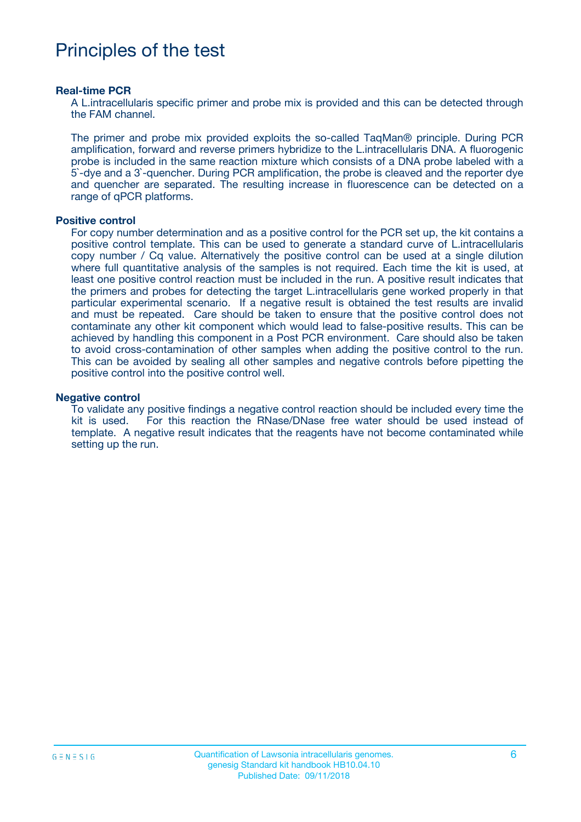## Principles of the test

#### **Real-time PCR**

A L.intracellularis specific primer and probe mix is provided and this can be detected through the FAM channel.

The primer and probe mix provided exploits the so-called TaqMan® principle. During PCR amplification, forward and reverse primers hybridize to the L.intracellularis DNA. A fluorogenic probe is included in the same reaction mixture which consists of a DNA probe labeled with a 5`-dye and a 3`-quencher. During PCR amplification, the probe is cleaved and the reporter dye and quencher are separated. The resulting increase in fluorescence can be detected on a range of qPCR platforms.

#### **Positive control**

For copy number determination and as a positive control for the PCR set up, the kit contains a positive control template. This can be used to generate a standard curve of L.intracellularis copy number / Cq value. Alternatively the positive control can be used at a single dilution where full quantitative analysis of the samples is not required. Each time the kit is used, at least one positive control reaction must be included in the run. A positive result indicates that the primers and probes for detecting the target L.intracellularis gene worked properly in that particular experimental scenario. If a negative result is obtained the test results are invalid and must be repeated. Care should be taken to ensure that the positive control does not contaminate any other kit component which would lead to false-positive results. This can be achieved by handling this component in a Post PCR environment. Care should also be taken to avoid cross-contamination of other samples when adding the positive control to the run. This can be avoided by sealing all other samples and negative controls before pipetting the positive control into the positive control well.

#### **Negative control**

To validate any positive findings a negative control reaction should be included every time the kit is used. For this reaction the RNase/DNase free water should be used instead of template. A negative result indicates that the reagents have not become contaminated while setting up the run.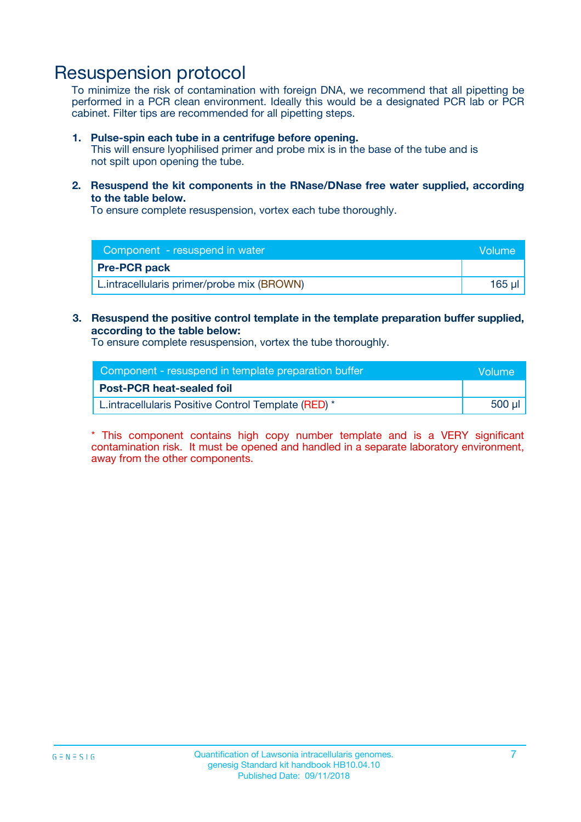## Resuspension protocol

To minimize the risk of contamination with foreign DNA, we recommend that all pipetting be performed in a PCR clean environment. Ideally this would be a designated PCR lab or PCR cabinet. Filter tips are recommended for all pipetting steps.

#### **1. Pulse-spin each tube in a centrifuge before opening.**

This will ensure lyophilised primer and probe mix is in the base of the tube and is not spilt upon opening the tube.

**2. Resuspend the kit components in the RNase/DNase free water supplied, according to the table below.**

To ensure complete resuspension, vortex each tube thoroughly.

| Component - resuspend in water             | <b>Nolume</b> |
|--------------------------------------------|---------------|
| <b>Pre-PCR pack</b>                        |               |
| L.intracellularis primer/probe mix (BROWN) | 165 ul        |

### **3. Resuspend the positive control template in the template preparation buffer supplied, according to the table below:**

To ensure complete resuspension, vortex the tube thoroughly.

| Component - resuspend in template preparation buffer |        |  |
|------------------------------------------------------|--------|--|
| <b>Post-PCR heat-sealed foil</b>                     |        |  |
| L. intracellularis Positive Control Template (RED) * | 500 µl |  |

\* This component contains high copy number template and is a VERY significant contamination risk. It must be opened and handled in a separate laboratory environment, away from the other components.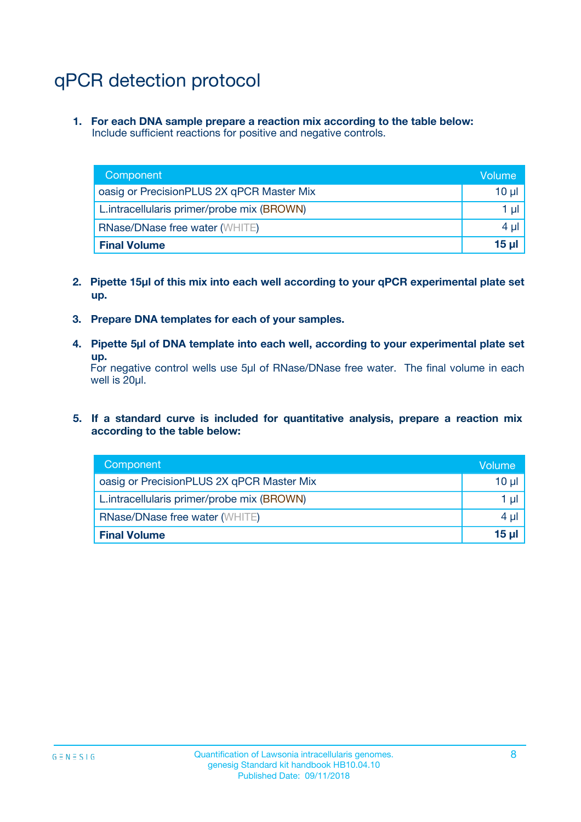## qPCR detection protocol

**1. For each DNA sample prepare a reaction mix according to the table below:** Include sufficient reactions for positive and negative controls.

| Component                                  | Volume          |
|--------------------------------------------|-----------------|
| oasig or PrecisionPLUS 2X qPCR Master Mix  | $10 \mu$        |
| L.intracellularis primer/probe mix (BROWN) | 1 µI            |
| <b>RNase/DNase free water (WHITE)</b>      | $4 \mu$         |
| <b>Final Volume</b>                        | 15 <sub>µ</sub> |

- **2. Pipette 15µl of this mix into each well according to your qPCR experimental plate set up.**
- **3. Prepare DNA templates for each of your samples.**
- **4. Pipette 5µl of DNA template into each well, according to your experimental plate set up.**

For negative control wells use 5µl of RNase/DNase free water. The final volume in each well is 20µl.

**5. If a standard curve is included for quantitative analysis, prepare a reaction mix according to the table below:**

| Component                                  | Volume   |
|--------------------------------------------|----------|
| oasig or PrecisionPLUS 2X qPCR Master Mix  | $10 \mu$ |
| L.intracellularis primer/probe mix (BROWN) | 1 µI     |
| <b>RNase/DNase free water (WHITE)</b>      | 4 µl     |
| <b>Final Volume</b>                        | $15$ µ   |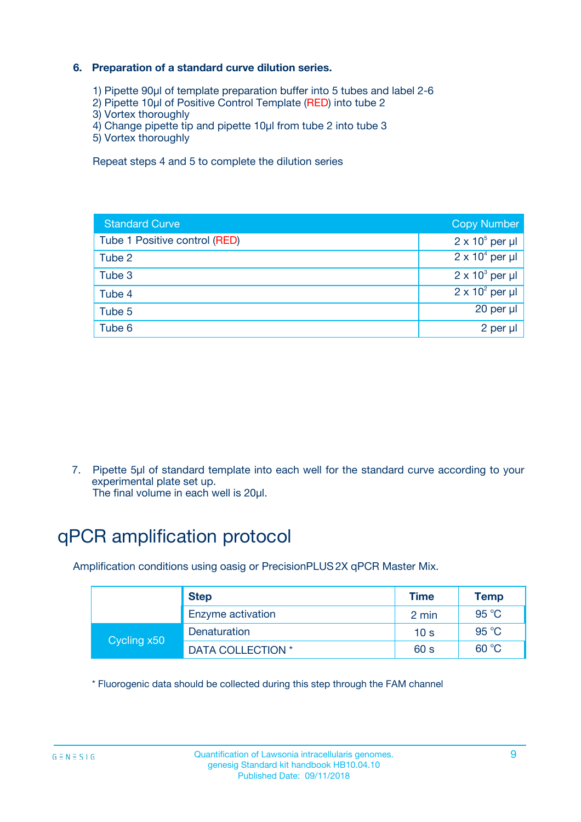### **6. Preparation of a standard curve dilution series.**

- 1) Pipette 90µl of template preparation buffer into 5 tubes and label 2-6
- 2) Pipette 10µl of Positive Control Template (RED) into tube 2
- 3) Vortex thoroughly
- 4) Change pipette tip and pipette 10µl from tube 2 into tube 3
- 5) Vortex thoroughly

Repeat steps 4 and 5 to complete the dilution series

| <b>Standard Curve</b>         | <b>Copy Number</b>     |
|-------------------------------|------------------------|
| Tube 1 Positive control (RED) | $2 \times 10^5$ per µl |
| Tube 2                        | $2 \times 10^4$ per µl |
| Tube 3                        | $2 \times 10^3$ per µl |
| Tube 4                        | $2 \times 10^2$ per µl |
| Tube 5                        | 20 per µl              |
| Tube 6                        | 2 per ul               |

7. Pipette 5µl of standard template into each well for the standard curve according to your experimental plate set up.

The final volume in each well is 20µl.

## qPCR amplification protocol

Amplification conditions using oasig or PrecisionPLUS2X qPCR Master Mix.

|             | <b>Step</b>       | <b>Time</b>     | Temp    |
|-------------|-------------------|-----------------|---------|
|             | Enzyme activation | 2 min           | 95 °C   |
| Cycling x50 | Denaturation      | 10 <sub>s</sub> | 95 $°C$ |
|             | DATA COLLECTION * | 60 s            | 60 °C   |

\* Fluorogenic data should be collected during this step through the FAM channel